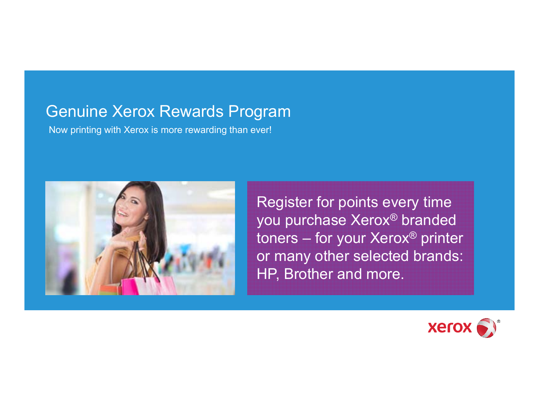### Genuine Xerox Rewards Program

Now printing with Xerox is more rewarding than ever!



Register for points every time you purchase Xerox ® branded toners – for your Xerox ® printer or many other selected brands: HP, Brother and more.

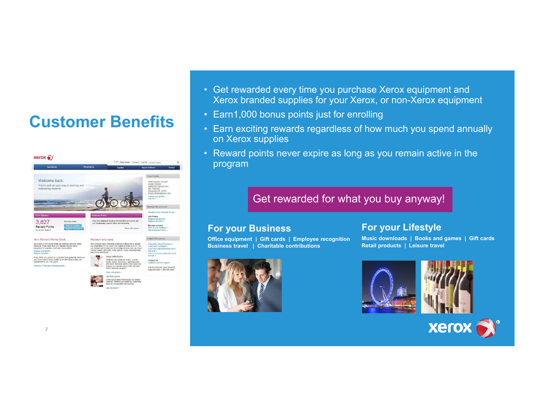### **Customer Benefits**



- Get rewarded every time you purchase Xerox equipment and Xerox branded supplies for your Xerox, or non-Xerox equipment
- Earn1,000 bonus points just for enrolling
- Earn exciting rewards regardless of how much you spend annually on Xerox supplies
- Reward points never expire as long as you remain active in the program

#### Get rewarded for what you buy anyway!

#### **For your Business**

**Office equipment | Gift cards | Employee recognition Business travel | Charitable contributions**



#### **For your Lifestyle**

**Music downloads | Books and games | Gift cards Retail products | Leisure travel**



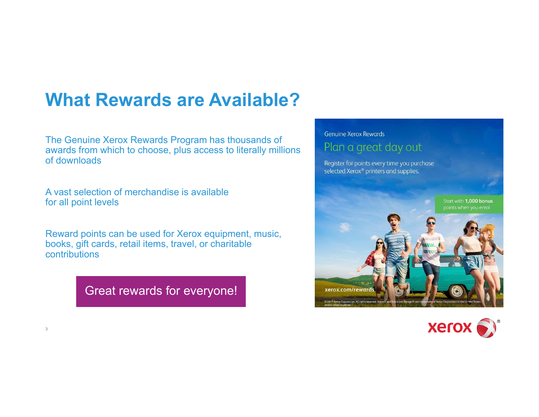## **What Rewards are Available?**

The Genuine Xerox Rewards Program has thousands of awards from which to choose, plus access to literally millions of downloads

A vast selection of merchandise is available for all point levels

3

Reward points can be used for Xerox equipment, music, books, gift cards, retail items, travel, or charitable contributions

Great rewards for everyone!



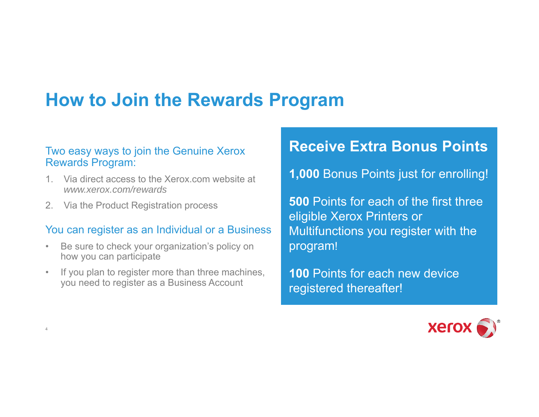## **How to Join the Rewards Program**

#### Two easy ways to join the Genuine Xerox Rewards Program:

- 1. Via direct access to the Xerox.com website at *www.xerox.com/rewards*
- 2. Via the Product Registration process

4

#### You can register as an Individual or a Business

- $\bullet$  Be sure to check your organization's policy on how you can participate
- $\bullet$ If you plan to register more than three machines, you need to register as a Business Account

### **Receive Extra Bonus Points**

**1,000** Bonus Points just for enrolling!

**500** Points for each of the first three eligible Xerox Printers or Multifunctions you register with the program!

**100** Points for each new device registered thereafter!

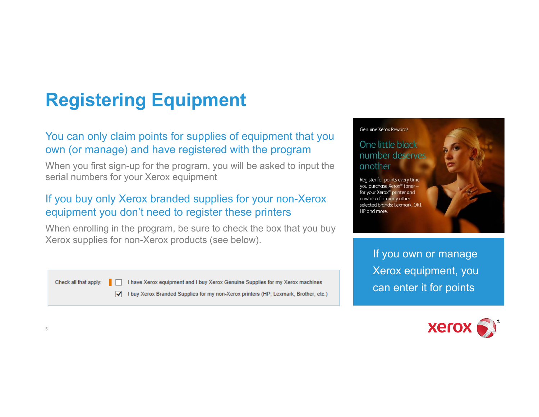# **Registering Equipment**

### You can only claim points for supplies of equipment that you own (or manage) and have registered with the program

When you first sign-up for the program, you will be asked to input the serial numbers for your Xerox equipment

### If you buy only Xerox branded supplies for your non-Xerox equipment you don't need to register these printers

When enrolling in the program, be sure to check the box that you buy Xerox supplies for non-Xerox products (see below).

Check all that apply:

5

I have Xerox equipment and I buy Xerox Genuine Supplies for my Xerox machines √ I buy Xerox Branded Supplies for my non-Xerox printers (HP, Lexmark, Brother, etc.) **Genuine Xerox Rewards** 

#### One little black number deserves another

Register for points every time you purchase Xerox® toner for your Xerox<sup>®</sup> printer and now also for many other selected brands: Lexmark, OKI HP and more.

> If you own or manage Xerox equipment, you can enter it for points

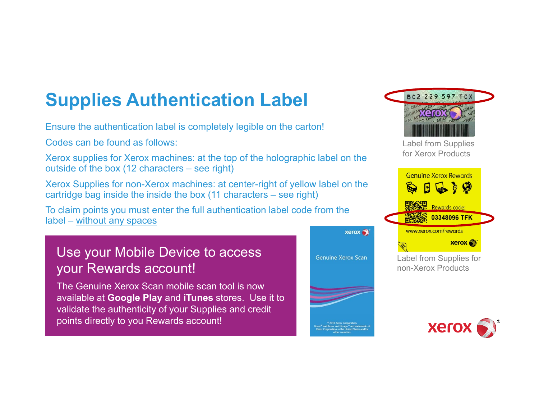# **Supplies Authentication Label**

Ensure the authentication label is completely legible on the carton!

Codes can be found as follows:

Xerox supplies for Xerox machines: at the top of the holographic label on the outside of the box (12 characters – see right)

Xerox Supplies for non-Xerox machines: at center-right of yellow label on the cartridge bag inside the inside the box (11 characters – see right)

To claim points you must enter the full authentication label code from the label – without any spaces

### Use your Mobile Device to access your Rewards account!

The Genuine Xerox Scan mobile scan tool is now available at **Google Play** and **iTunes** stores. Use it to validate the authenticity of your Supplies and credit points directly to you Rewards account!





Label from Supplies for Xerox Products



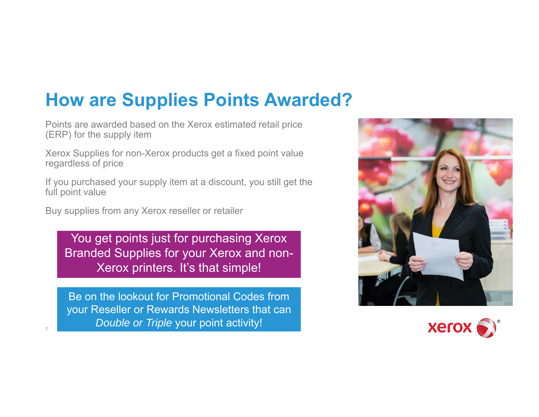## **How are Supplies Points Awarded?**

Points are awarded based on the Xerox estimated retail price (ERP) for the supply item

Xerox Supplies for non-Xerox products get a fixed point value regardless of price

If you purchased your supply item at a discount, you still get the full point value

Buy supplies from any Xerox reseller or retailer

7

You get points just for purchasing Xerox Branded Supplies for your Xerox and non-Xerox printers. It's that simple!

Be on the lookout for Promotional Codes from your Reseller or Rewards Newsletters that can *Double or Triple* your point activity!



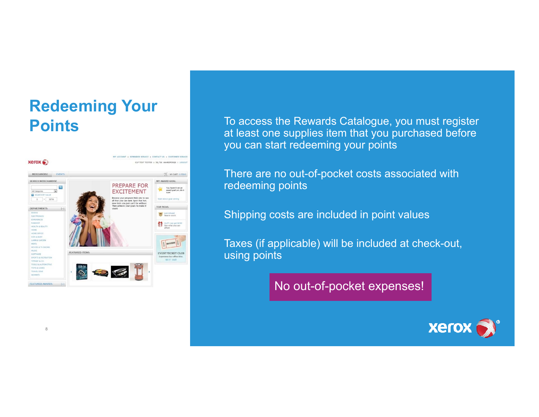### **Redeeming Your Points**



8

To access the Rewards Catalogue, you must register at least one supplies item that you purchased before you can start redeeming your points

There are no out-of-pocket costs associated with redeeming points

Shipping costs are included in point values

Taxes (if applicable) will be included at check-out, using points

No out-of-pocket expenses!

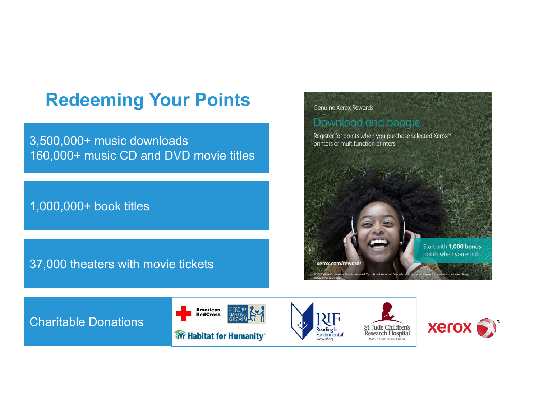## **Redeeming Your Points**

3,500,000+ music downloads 160,000+ music CD and DVD movie titles

1,000,000+ book titles

### 37,000 theaters with movie tickets



Charitable Donations







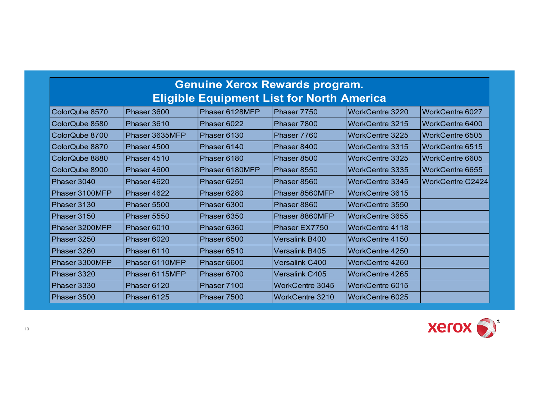| <b>Genuine Xerox Rewards program.</b>            |                |                |                       |                        |                         |
|--------------------------------------------------|----------------|----------------|-----------------------|------------------------|-------------------------|
| <b>Eligible Equipment List for North America</b> |                |                |                       |                        |                         |
| ColorQube 8570                                   | Phaser 3600    | Phaser 6128MFP | Phaser 7750           | <b>WorkCentre 3220</b> | <b>WorkCentre 6027</b>  |
| ColorQube 8580                                   | Phaser 3610    | Phaser 6022    | Phaser 7800           | WorkCentre 3215        | WorkCentre 6400         |
| ColorQube 8700                                   | Phaser 3635MFP | Phaser 6130    | Phaser 7760           | <b>WorkCentre 3225</b> | <b>WorkCentre 6505</b>  |
| ColorQube 8870                                   | Phaser 4500    | Phaser 6140    | Phaser 8400           | <b>WorkCentre 3315</b> | <b>WorkCentre 6515</b>  |
| ColorQube 8880                                   | Phaser 4510    | Phaser 6180    | Phaser 8500           | WorkCentre 3325        | <b>WorkCentre 6605</b>  |
| ColorQube 8900                                   | Phaser 4600    | Phaser 6180MFP | Phaser 8550           | WorkCentre 3335        | <b>WorkCentre 6655</b>  |
| Phaser 3040                                      | Phaser 4620    | Phaser 6250    | Phaser 8560           | <b>WorkCentre 3345</b> | <b>WorkCentre C2424</b> |
| Phaser 3100MFP                                   | Phaser 4622    | Phaser 6280    | Phaser 8560MFP        | WorkCentre 3615        |                         |
| Phaser 3130                                      | Phaser 5500    | Phaser 6300    | Phaser 8860           | <b>WorkCentre 3550</b> |                         |
| Phaser 3150                                      | Phaser 5550    | Phaser 6350    | Phaser 8860MFP        | WorkCentre 3655        |                         |
| Phaser 3200MFP                                   | Phaser 6010    | Phaser 6360    | Phaser EX7750         | WorkCentre 4118        |                         |
| Phaser 3250                                      | Phaser 6020    | Phaser 6500    | Versalink B400        | WorkCentre 4150        |                         |
| Phaser 3260                                      | Phaser 6110    | Phaser 6510    | Versalink B405        | WorkCentre 4250        |                         |
| Phaser 3300MFP                                   | Phaser 6110MFP | Phaser 6600    | <b>Versalink C400</b> | WorkCentre 4260        |                         |
| Phaser 3320                                      | Phaser 6115MFP | Phaser 6700    | <b>Versalink C405</b> | <b>WorkCentre 4265</b> |                         |
| Phaser 3330                                      | Phaser 6120    | Phaser 7100    | WorkCentre 3045       | WorkCentre 6015        |                         |
| Phaser 3500                                      | Phaser 6125    | Phaser 7500    | WorkCentre 3210       | WorkCentre 6025        |                         |